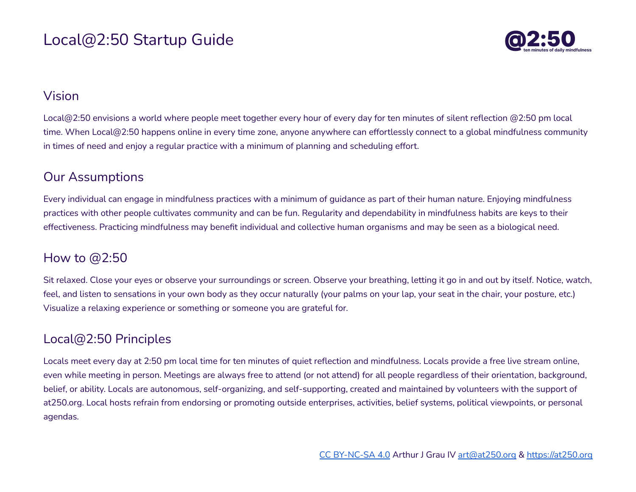# Local@2:50 Startup Guide



### Vision

Local@2:50 envisions a world where people meet together every hour of every day for ten minutes of silent reflection @2:50 pm local time. When Local@2:50 happens online in every time zone, anyone anywhere can effortlessly connect to a global mindfulness community in times of need and enjoy a regular practice with a minimum of planning and scheduling effort.

### Our Assumptions

Every individual can engage in mindfulness practices with a minimum of guidance as part of their human nature. Enjoying mindfulness practices with other people cultivates community and can be fun. Regularity and dependability in mindfulness habits are keys to their effectiveness. Practicing mindfulness may benefit individual and collective human organisms and may be seen as a biological need.

## How to @2:50

Sit relaxed. Close your eyes or observe your surroundings or screen. Observe your breathing, letting it go in and out by itself. Notice, watch, feel, and listen to sensations in your own body as they occur naturally (your palms on your lap, your seat in the chair, your posture, etc.) Visualize a relaxing experience or something or someone you are grateful for.

## Local@2:50 Principles

Locals meet every day at 2:50 pm local time for ten minutes of quiet reflection and mindfulness. Locals provide a free live stream online, even while meeting in person. Meetings are always free to attend (or not attend) for all people regardless of their orientation, background, belief, or ability. Locals are autonomous, self-organizing, and self-supporting, created and maintained by volunteers with the support of at250.org. Local hosts refrain from endorsing or promoting outside enterprises, activities, belief systems, political viewpoints, or personal agendas.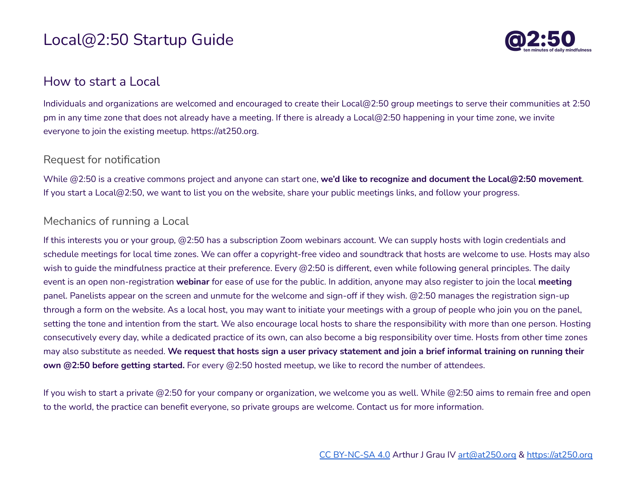# Local@2:50 Startup Guide



### How to start a Local

Individuals and organizations are welcomed and encouraged to create their Local@2:50 group meetings to serve their communities at 2:50 pm in any time zone that does not already have a meeting. If there is already a Local@2:50 happening in your time zone, we invite everyone to join the existing meetup. https://at250.org.

#### Request for notification

While @2:50 is a creative commons project and anyone can start one, **we'd like to recognize and document the Local@2:50 movement**. If you start a Local@2:50, we want to list you on the website, share your public meetings links, and follow your progress.

#### Mechanics of running a Local

If this interests you or your group, @2:50 has a subscription Zoom webinars account. We can supply hosts with login credentials and schedule meetings for local time zones. We can offer a copyright-free video and soundtrack that hosts are welcome to use. Hosts may also wish to quide the mindfulness practice at their preference. Every @2:50 is different, even while following general principles. The daily event is an open non-registration **webinar** for ease of use for the public. In addition, anyone may also register to join the local **meeting** panel. Panelists appear on the screen and unmute for the welcome and sign-off if they wish. @2:50 manages the registration sign-up through a form on the website. As a local host, you may want to initiate your meetings with a group of people who join you on the panel, setting the tone and intention from the start. We also encourage local hosts to share the responsibility with more than one person. Hosting consecutively every day, while a dedicated practice of its own, can also become a big responsibility over time. Hosts from other time zones may also substitute as needed. We request that hosts sign a user privacy statement and join a brief informal training on running their **own @2:50 before getting started.** For every @2:50 hosted meetup, we like to record the number of attendees.

If you wish to start a private @2:50 for your company or organization, we welcome you as well. While @2:50 aims to remain free and open to the world, the practice can benefit everyone, so private groups are welcome. Contact us for more information.